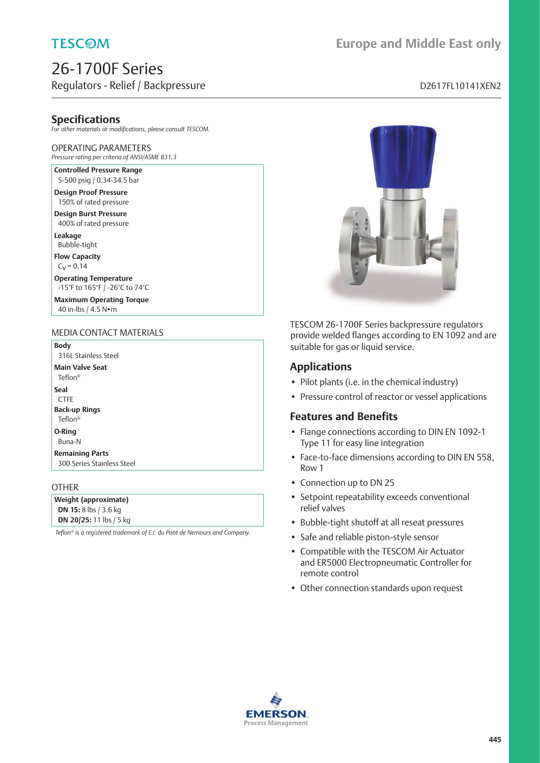### **TESCOM**

### 26-1700F Series Regulators - Relief / Backpressure discussed by a material control of the D2617FL10141XEN2

# **Europe and Middle East only**

### **Specifications**

*For other materials or modifications, please consult TESCOM.*

#### OPERATING PARAMETERS

*Pressure rating per criteria of ANSI/ASME B31.3*

**Controlled Pressure Range** 5-500 psig / 0.34-34.5 bar

**Design Proof Pressure** 150% of rated pressure

**Design Burst Pressure** 400% of rated pressure

**Leakage** Bubble-tight

**Flow Capacity**

 $C_V = 0.14$ 

**Operating Temperature** -15°F to 165°F / -26°C to 74°C

**Maximum Operating Torque** 40 in-lbs / 4.5 N•m

#### MEDIA CONTACT MATERIALS

**Body** 316L Stainless Steel

**Main Valve Seat**

Teflon®

**Seal**

CTFE **Back-up Rings**

Teflon®

**O-Ring**

#### Buna-N **Remaining Parts**

300 Series Stainless Steel

#### **OTHER**

**Weight (approximate) DN 15:** 8 lbs / 3.6 kg **DN 20/25:** 11 lbs / 5 kg

*Teflon® is a registered trademark of E.I. du Pont de Nemours and Company.*



TESCOM 26-1700F Series backpressure regulators provide welded flanges according to EN 1092 and are suitable for gas or liquid service.

#### **Applications**

- Pilot plants (i.e. in the chemical industry)
- Pressure control of reactor or vessel applications

#### **Features and Benefits**

- Flange connections according to DIN EN 1092-1 Type 11 for easy line integration
- Face-to-face dimensions according to DIN EN 558, Row 1
- Connection up to DN 25
- Setpoint repeatability exceeds conventional relief valves
- Bubble-tight shutoff at all reseat pressures
- Safe and reliable piston-style sensor
- Compatible with the TESCOM Air Actuator and ER5000 Electropneumatic Controller for remote control
- Other connection standards upon request

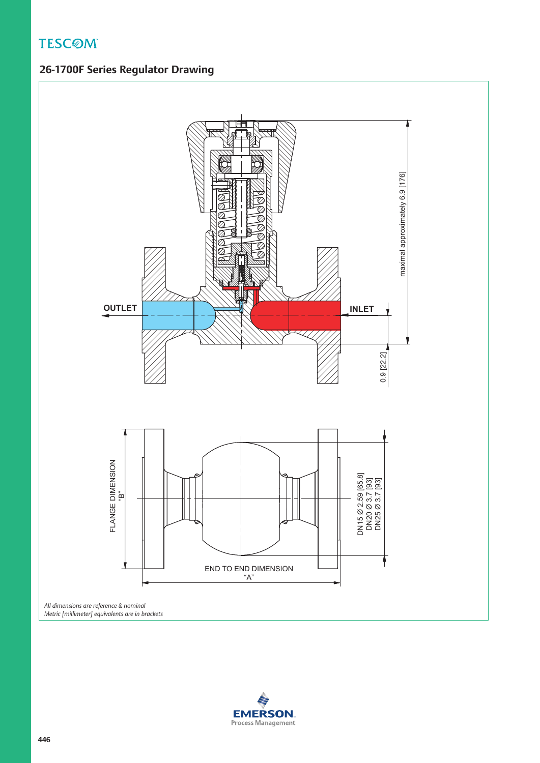**TESCOM** 

# **26-1700F Series Regulator Drawing**



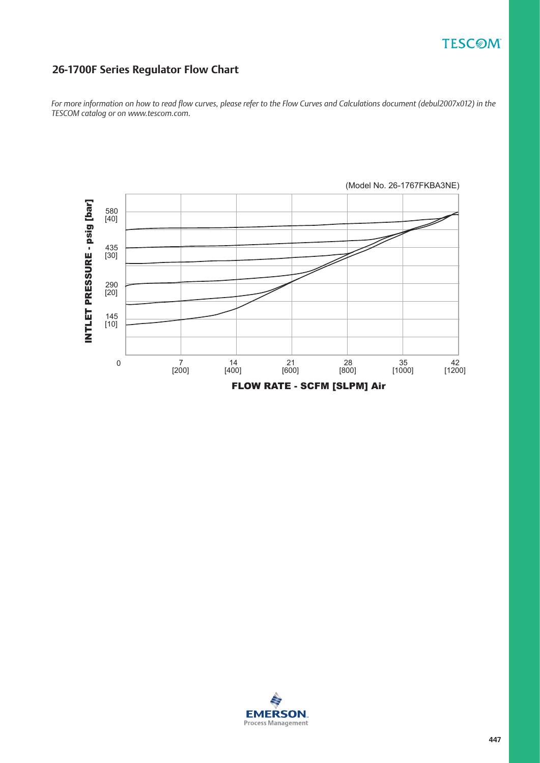# **TESCOM**

### **26-1700F Series Regulator Flow Chart**

*For more information on how to read flow curves, please refer to the Flow Curves and Calculations document (debul2007x012) in the TESCOM catalog or on www.tescom.com.*